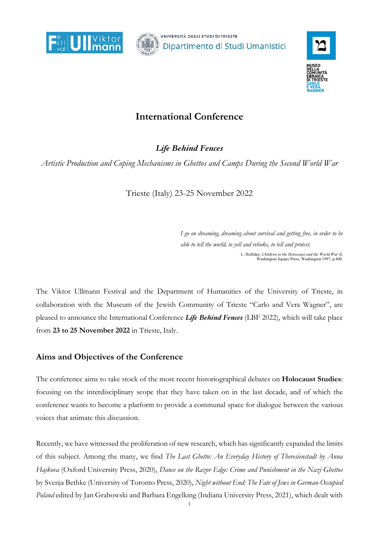



## **International Conference**

*Life Behind Fences*

*Artistic Production and Coping Mechanisms in Ghettos and Camps During the Second World War*

Trieste (Italy) 23-25 November 2022

*I go on dreaming, dreaming about survival and getting free, in order to be able to tell the world, to yell and rebuke, to tell and protest.* L. Holliday, *Children in the Holocaust and the World War II*, Washington Square Press, Washington 1997, p.400.

The Viktor Ullmann Festival and the Department of Humanities of the University of Trieste, in collaboration with the Museum of the Jewish Community of Trieste "Carlo and Vera Wagner", are pleased to announce the International Conference *Life Behind Fences* (LBF 2022), which will take place from **23 to 25 November 2022** in Trieste, Italy.

## **Aims and Objectives of the Conference**

The conference aims to take stock of the most recent historiographical debates on **Holocaust Studies**: focusing on the interdisciplinary scope that they have taken on in the last decade, and of which the conference wants to become a platform to provide a communal space for dialogue between the various voices that animate this discussion.

Recently, we have witnessed the proliferation of new research, which has significantly expanded the limits of this subject. Among the many, we find *The Last Ghetto: An Everyday History of Theresienstadt by Anna Hajkova* (Oxford University Press, 2020), *Dance on the Razor Edge: Crime and Punishment in the Nazi Ghettos* by Svenja Bethke (University of Toronto Press, 2020), *Night without End: The Fate of Jews in German-Occupied Poland* edited by Jan Grabowski and Barbara Engelking (Indiana University Press, 2021), which dealt with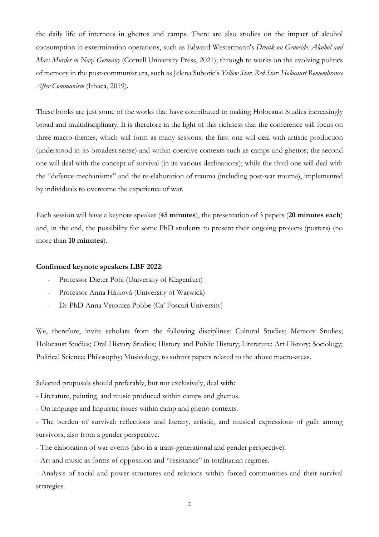the daily life of internees in ghettos and camps. There are also studies on the impact of alcohol consumption in extermination operations, such as Edward Westermann's *Drunk on Genocide: Alcohol and Mass Murder in Nazi Germany* (Cornell University Press, 2021); through to works on the evolving politics of memory in the post-communist era, such as Jelena Subotic's *Yellow Star, Red Star: Holocaust Remembrance After Communism* (Ithaca, 2019).

These books are just some of the works that have contributed to making Holocaust Studies increasingly broad and multidisciplinary. It is therefore in the light of this richness that the conference will focus on three macro-themes, which will form as many sessions: the first one will deal with artistic production (understood in its broadest sense) and within coercive contexts such as camps and ghettos; the second one will deal with the concept of survival (in its various declinations); while the third one will deal with the "defence mechanisms" and the re-elaboration of trauma (including post-war trauma), implemented by individuals to overcome the experience of war.

Each session will have a keynote speaker (**45 minutes**), the presentation of 3 papers (**20 minutes each**) and, in the end, the possibility for some PhD students to present their ongoing projects (posters) (no more than **10 minutes**).

## **Confirmed keynote speakers LBF 2022**:

- Professor Dieter Pohl (University of Klagenfurt)
- Professor Anna Hájková (University of Warwick)
- Dr PhD Anna Veronica Pobbe (Ca' Foscari University)

We, therefore, invite scholars from the following disciplines: Cultural Studies; Memory Studies; Holocaust Studies; Oral History Studies; History and Public History; Literature; Art History; Sociology; Political Science; Philosophy; Musicology, to submit papers related to the above macro-areas.

Selected proposals should preferably, but not exclusively, deal with:

- Literature, painting, and music produced within camps and ghettos.

- On language and linguistic issues within camp and ghetto contexts.

- The burden of survival: reflections and literary, artistic, and musical expressions of guilt among survivors, also from a gender perspective.

- The elaboration of war events (also in a trans-generational and gender perspective).

- Art and music as forms of opposition and "resistance" in totalitarian regimes.

- Analysis of social and power structures and relations within forced communities and their survival strategies.